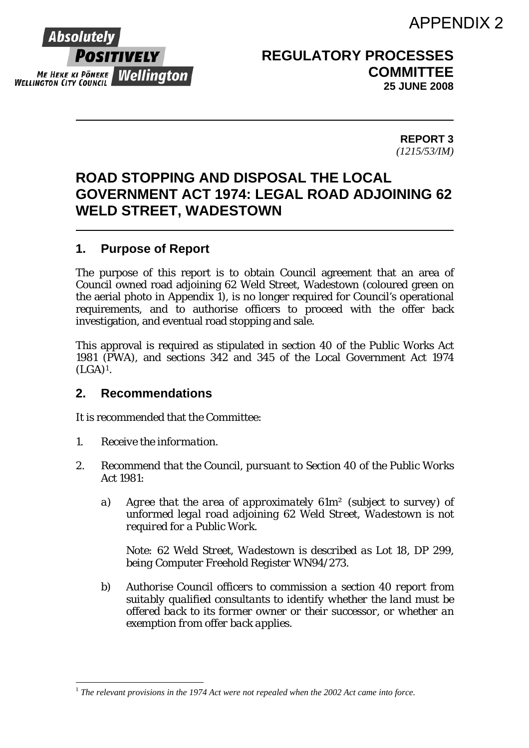### APPENDIX 2



 $\overline{a}$ 

**REGULATORY PROCESSES COMMITTEE 25 JUNE 2008** 

> **REPORT 3**  *(1215/53/IM)*

### **ROAD STOPPING AND DISPOSAL THE LOCAL GOVERNMENT ACT 1974: LEGAL ROAD ADJOINING 62 WELD STREET, WADESTOWN**

### **1. Purpose of Report**

The purpose of this report is to obtain Council agreement that an area of Council owned road adjoining 62 Weld Street, Wadestown (coloured green on the aerial photo in Appendix 1), is no longer required for Council's operational requirements, and to authorise officers to proceed with the offer back investigation, and eventual road stopping and sale.

This approval is required as stipulated in section 40 of the Public Works Act 1981 (PWA), and sections 342 and 345 of the Local Government Act 1974 (LGA)[1](#page-0-0)*.*

### **2. Recommendations**

It is recommended that the Committee:

- *1. Receive the information.*
- *2. Recommend that the Council, pursuant to Section 40 of the Public Works Act 1981:* 
	- *a) Agree that the area of approximately 61m² (subject to survey) of unformed legal road adjoining 62 Weld Street, Wadestown is not required for a Public Work.*

*Note: 62 Weld Street, Wadestown is described as Lot 18, DP 299, being Computer Freehold Register WN94/273.* 

*b) Authorise Council officers to commission a section 40 report from suitably qualified consultants to identify whether the land must be offered back to its former owner or their successor, or whether an exemption from offer back applies.* 

<span id="page-0-0"></span><sup>&</sup>lt;sup>1</sup> The relevant provisions in the 1974 Act were not repealed when the 2002 Act came into force.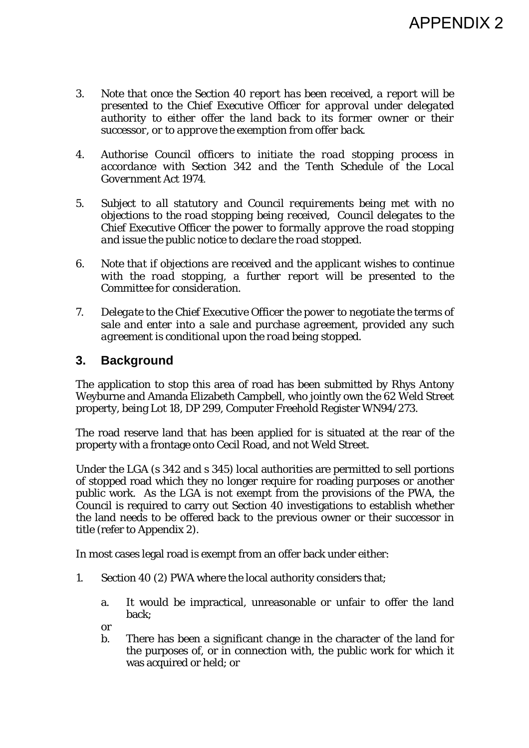- *3. Note that once the Section 40 report has been received, a report will be presented to the Chief Executive Officer for approval under delegated authority to either offer the land back to its former owner or their successor, or to approve the exemption from offer back.*
- *4. Authorise Council officers to initiate the road stopping process in accordance with Section 342 and the Tenth Schedule of the Local Government Act 1974.*
- *5. Subject to all statutory and Council requirements being met with no objections to the road stopping being received, Council delegates to the Chief Executive Officer the power to formally approve the road stopping and issue the public notice to declare the road stopped.*
- *6. Note that if objections are received and the applicant wishes to continue with the road stopping, a further report will be presented to the Committee for consideration.*
- *7. Delegate to the Chief Executive Officer the power to negotiate the terms of sale and enter into a sale and purchase agreement, provided any such agreement is conditional upon the road being stopped.*

### **3. Background**

The application to stop this area of road has been submitted by Rhys Antony Weyburne and Amanda Elizabeth Campbell, who jointly own the 62 Weld Street property, being Lot 18, DP 299, Computer Freehold Register WN94/273.

The road reserve land that has been applied for is situated at the rear of the property with a frontage onto Cecil Road, and not Weld Street.

Under the LGA (s 342 and s 345) local authorities are permitted to sell portions of stopped road which they no longer require for roading purposes or another public work. As the LGA is not exempt from the provisions of the PWA, the Council is required to carry out Section 40 investigations to establish whether the land needs to be offered back to the previous owner or their successor in title (refer to Appendix 2).

In most cases legal road is exempt from an offer back under either:

- 1. Section 40 (2) PWA where the local authority considers that;
	- a. It would be impractical, unreasonable or unfair to offer the land back;
	- or
	- b. There has been a significant change in the character of the land for the purposes of, or in connection with, the public work for which it was acquired or held; or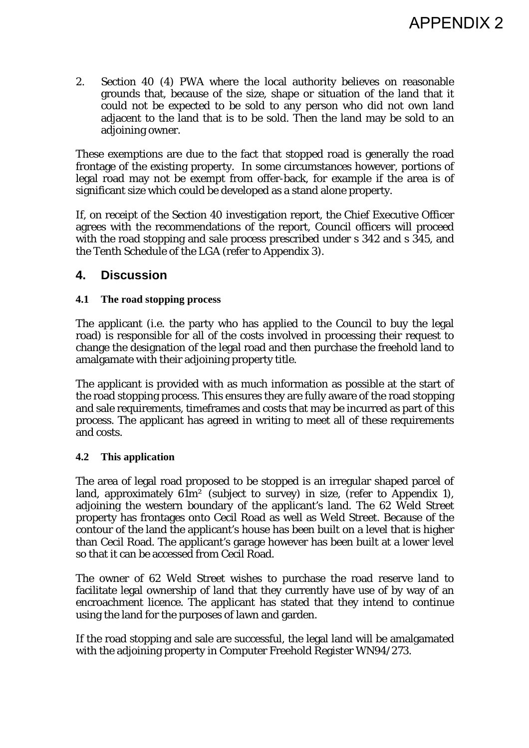2. Section 40 (4) PWA where the local authority believes on reasonable grounds that, because of the size, shape or situation of the land that it could not be expected to be sold to any person who did not own land adjacent to the land that is to be sold. Then the land may be sold to an adjoining owner.

These exemptions are due to the fact that stopped road is generally the road frontage of the existing property. In some circumstances however, portions of legal road may not be exempt from offer-back, for example if the area is of significant size which could be developed as a stand alone property.

If, on receipt of the Section 40 investigation report, the Chief Executive Officer agrees with the recommendations of the report, Council officers will proceed with the road stopping and sale process prescribed under s 342 and s 345, and the Tenth Schedule of the LGA (refer to Appendix 3).

### **4. Discussion**

#### **4.1 The road stopping process**

The applicant (i.e. the party who has applied to the Council to buy the legal road) is responsible for all of the costs involved in processing their request to change the designation of the legal road and then purchase the freehold land to amalgamate with their adjoining property title.

The applicant is provided with as much information as possible at the start of the road stopping process. This ensures they are fully aware of the road stopping and sale requirements, timeframes and costs that may be incurred as part of this process. The applicant has agreed in writing to meet all of these requirements and costs.

#### **4.2 This application**

The area of legal road proposed to be stopped is an irregular shaped parcel of land, approximately  $61m^2$  (subject to survey) in size, (refer to Appendix 1), adjoining the western boundary of the applicant's land. The 62 Weld Street property has frontages onto Cecil Road as well as Weld Street. Because of the contour of the land the applicant's house has been built on a level that is higher than Cecil Road. The applicant's garage however has been built at a lower level so that it can be accessed from Cecil Road.

The owner of 62 Weld Street wishes to purchase the road reserve land to facilitate legal ownership of land that they currently have use of by way of an encroachment licence. The applicant has stated that they intend to continue using the land for the purposes of lawn and garden.

If the road stopping and sale are successful, the legal land will be amalgamated with the adjoining property in Computer Freehold Register WN94/273.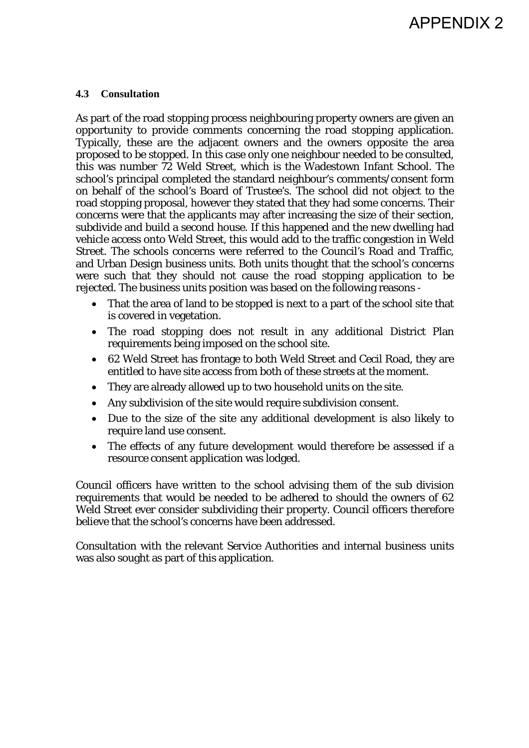## APPENDIX 2

#### **4.3 Consultation**

As part of the road stopping process neighbouring property owners are given an opportunity to provide comments concerning the road stopping application. Typically, these are the adjacent owners and the owners opposite the area proposed to be stopped. In this case only one neighbour needed to be consulted, this was number 72 Weld Street, which is the Wadestown Infant School. The school's principal completed the standard neighbour's comments/consent form on behalf of the school's Board of Trustee's. The school did not object to the road stopping proposal, however they stated that they had some concerns. Their concerns were that the applicants may after increasing the size of their section, subdivide and build a second house. If this happened and the new dwelling had vehicle access onto Weld Street, this would add to the traffic congestion in Weld Street. The schools concerns were referred to the Council's Road and Traffic, and Urban Design business units. Both units thought that the school's concerns were such that they should not cause the road stopping application to be rejected. The business units position was based on the following reasons -

- That the area of land to be stopped is next to a part of the school site that is covered in vegetation.
- The road stopping does not result in any additional District Plan requirements being imposed on the school site.
- 62 Weld Street has frontage to both Weld Street and Cecil Road, they are entitled to have site access from both of these streets at the moment.
- They are already allowed up to two household units on the site.
- Any subdivision of the site would require subdivision consent.
- Due to the size of the site any additional development is also likely to require land use consent.
- The effects of any future development would therefore be assessed if a resource consent application was lodged.

Council officers have written to the school advising them of the sub division requirements that would be needed to be adhered to should the owners of 62 Weld Street ever consider subdividing their property. Council officers therefore believe that the school's concerns have been addressed.

Consultation with the relevant Service Authorities and internal business units was also sought as part of this application.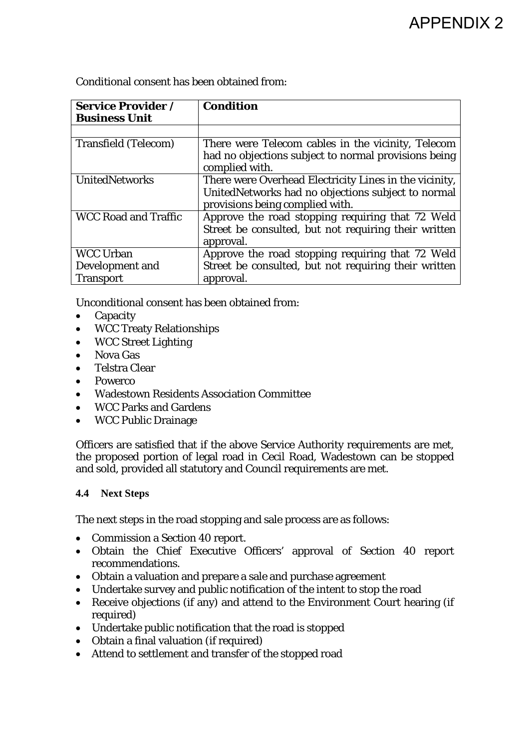# APPENDIX 2

Conditional consent has been obtained from:

| <b>Service Provider /</b><br><b>Business Unit</b> | <b>Condition</b>                                                                      |
|---------------------------------------------------|---------------------------------------------------------------------------------------|
|                                                   |                                                                                       |
| <b>Transfield (Telecom)</b>                       | There were Telecom cables in the vicinity, Telecom                                    |
|                                                   | had no objections subject to normal provisions being<br>complied with.                |
| <b>UnitedNetworks</b>                             | There were Overhead Electricity Lines in the vicinity,                                |
|                                                   | UnitedNetworks had no objections subject to normal<br>provisions being complied with. |
| <b>WCC Road and Traffic</b>                       | Approve the road stopping requiring that 72 Weld                                      |
|                                                   | Street be consulted, but not requiring their written<br>approval.                     |
| <b>WCC Urban</b>                                  | Approve the road stopping requiring that 72 Weld                                      |
| Development and                                   | Street be consulted, but not requiring their written                                  |
| <b>Transport</b>                                  | approval.                                                                             |

Unconditional consent has been obtained from:

- Capacity
- WCC Treaty Relationships
- WCC Street Lighting
- Nova Gas
- Telstra Clear
- Powerco
- Wadestown Residents Association Committee
- WCC Parks and Gardens
- WCC Public Drainage

Officers are satisfied that if the above Service Authority requirements are met, the proposed portion of legal road in Cecil Road, Wadestown can be stopped and sold, provided all statutory and Council requirements are met.

#### **4.4 Next Steps**

The next steps in the road stopping and sale process are as follows:

- Commission a Section 40 report.
- Obtain the Chief Executive Officers' approval of Section 40 report recommendations.
- Obtain a valuation and prepare a sale and purchase agreement
- Undertake survey and public notification of the intent to stop the road
- Receive objections (if any) and attend to the Environment Court hearing (if required)
- Undertake public notification that the road is stopped
- Obtain a final valuation (if required)
- Attend to settlement and transfer of the stopped road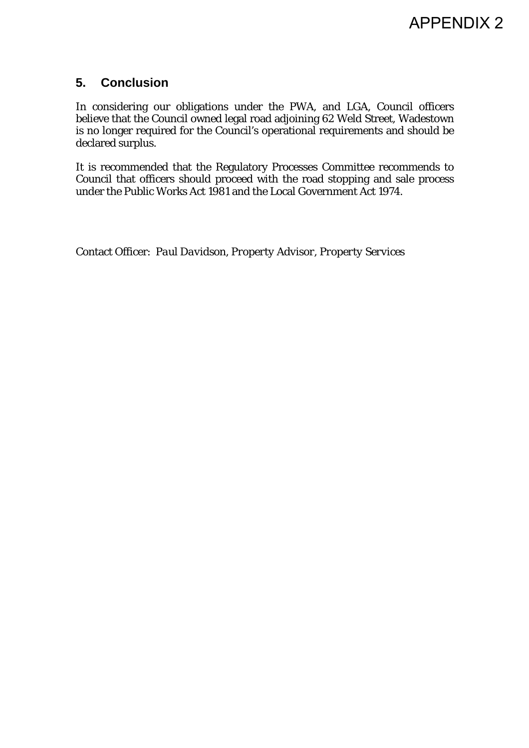### **5. Conclusion**

In considering our obligations under the PWA, and LGA, Council officers believe that the Council owned legal road adjoining 62 Weld Street, Wadestown is no longer required for the Council's operational requirements and should be declared surplus.

It is recommended that the Regulatory Processes Committee recommends to Council that officers should proceed with the road stopping and sale process under the Public Works Act 1981 and the Local Government Act 1974.

Contact Officer: *Paul Davidson, Property Advisor, Property Services*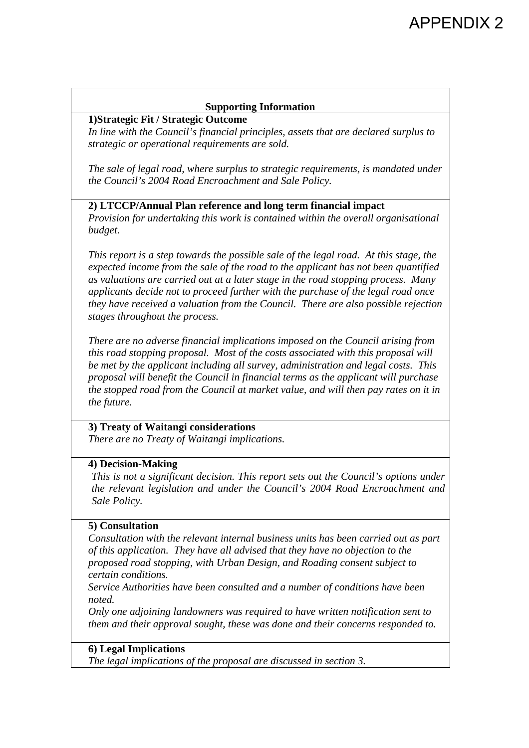#### **Supporting Information**

#### **1)Strategic Fit / Strategic Outcome**

*In line with the Council's financial principles, assets that are declared surplus to strategic or operational requirements are sold.* 

*The sale of legal road, where surplus to strategic requirements, is mandated under the Council's 2004 Road Encroachment and Sale Policy.* 

#### **2) LTCCP/Annual Plan reference and long term financial impact**

*Provision for undertaking this work is contained within the overall organisational budget.* 

*This report is a step towards the possible sale of the legal road. At this stage, the expected income from the sale of the road to the applicant has not been quantified as valuations are carried out at a later stage in the road stopping process. Many applicants decide not to proceed further with the purchase of the legal road once they have received a valuation from the Council. There are also possible rejection stages throughout the process.* 

*There are no adverse financial implications imposed on the Council arising from this road stopping proposal. Most of the costs associated with this proposal will be met by the applicant including all survey, administration and legal costs. This proposal will benefit the Council in financial terms as the applicant will purchase the stopped road from the Council at market value, and will then pay rates on it in the future.* 

#### **3) Treaty of Waitangi considerations**

*There are no Treaty of Waitangi implications.* 

#### **4) Decision-Making**

*This is not a significant decision. This report sets out the Council's options under the relevant legislation and under the Council's 2004 Road Encroachment and Sale Policy.* 

#### **5) Consultation**

*Consultation with the relevant internal business units has been carried out as part of this application. They have all advised that they have no objection to the proposed road stopping, with Urban Design, and Roading consent subject to certain conditions.* 

*Service Authorities have been consulted and a number of conditions have been noted.* 

*Only one adjoining landowners was required to have written notification sent to them and their approval sought, these was done and their concerns responded to.* 

#### **6) Legal Implications**

*The legal implications of the proposal are discussed in section 3.*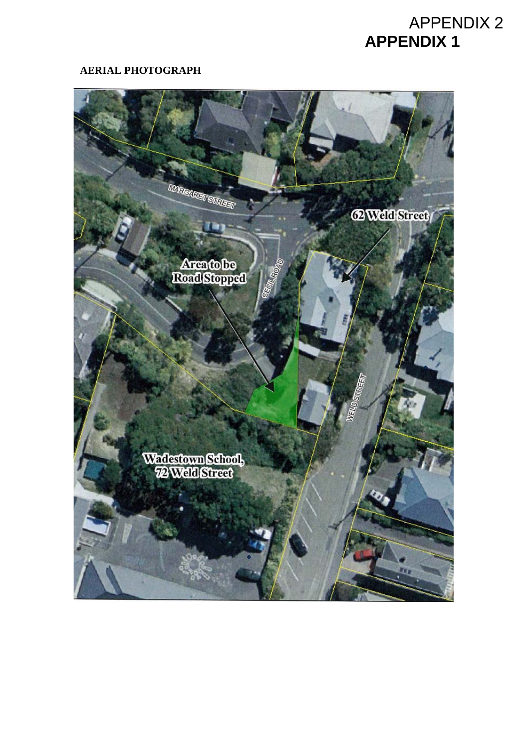## **APPENDIX 1**  APPENDIX 2

#### **AERIAL PHOTOGRAPH**

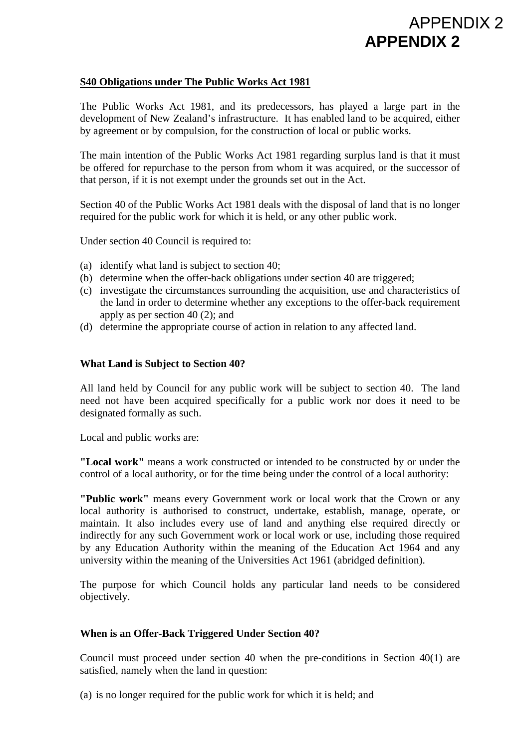## **APPENDIX 2**  APPENDIX 2

#### **S40 Obligations under The Public Works Act 1981**

The Public Works Act 1981, and its predecessors, has played a large part in the development of New Zealand's infrastructure. It has enabled land to be acquired, either by agreement or by compulsion, for the construction of local or public works.

The main intention of the Public Works Act 1981 regarding surplus land is that it must be offered for repurchase to the person from whom it was acquired, or the successor of that person, if it is not exempt under the grounds set out in the Act.

Section 40 of the Public Works Act 1981 deals with the disposal of land that is no longer required for the public work for which it is held, or any other public work.

Under section 40 Council is required to:

- (a) identify what land is subject to section 40;
- (b) determine when the offer-back obligations under section 40 are triggered;
- (c) investigate the circumstances surrounding the acquisition, use and characteristics of the land in order to determine whether any exceptions to the offer-back requirement apply as per section 40 (2); and
- (d) determine the appropriate course of action in relation to any affected land.

#### **What Land is Subject to Section 40?**

All land held by Council for any public work will be subject to section 40. The land need not have been acquired specifically for a public work nor does it need to be designated formally as such.

Local and public works are:

**"Local work"** means a work constructed or intended to be constructed by or under the control of a local authority, or for the time being under the control of a local authority:

**"Public work"** means every Government work or local work that the Crown or any local authority is authorised to construct, undertake, establish, manage, operate, or maintain. It also includes every use of land and anything else required directly or indirectly for any such Government work or local work or use, including those required by any Education Authority within the meaning of the Education Act 1964 and any university within the meaning of the Universities Act 1961 (abridged definition).

The purpose for which Council holds any particular land needs to be considered objectively.

#### **When is an Offer-Back Triggered Under Section 40?**

Council must proceed under section 40 when the pre-conditions in Section 40(1) are satisfied, namely when the land in question:

(a) is no longer required for the public work for which it is held; and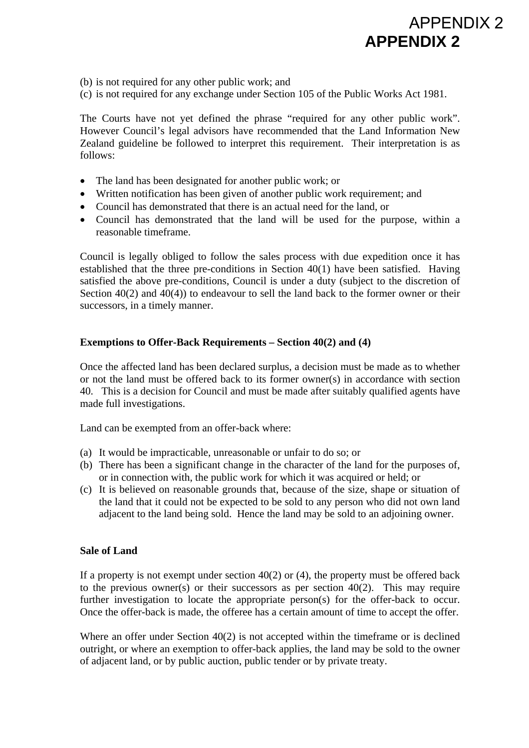## **APPENDIX 2**  APPENDIX 2

(b) is not required for any other public work; and

(c) is not required for any exchange under Section 105 of the Public Works Act 1981.

The Courts have not yet defined the phrase "required for any other public work". However Council's legal advisors have recommended that the Land Information New Zealand guideline be followed to interpret this requirement. Their interpretation is as follows:

- The land has been designated for another public work; or
- Written notification has been given of another public work requirement; and
- Council has demonstrated that there is an actual need for the land, or
- Council has demonstrated that the land will be used for the purpose, within a reasonable timeframe.

Council is legally obliged to follow the sales process with due expedition once it has established that the three pre-conditions in Section 40(1) have been satisfied. Having satisfied the above pre-conditions, Council is under a duty (subject to the discretion of Section 40(2) and 40(4)) to endeavour to sell the land back to the former owner or their successors, in a timely manner.

#### **Exemptions to Offer-Back Requirements – Section 40(2) and (4)**

Once the affected land has been declared surplus, a decision must be made as to whether or not the land must be offered back to its former owner(s) in accordance with section 40. This is a decision for Council and must be made after suitably qualified agents have made full investigations.

Land can be exempted from an offer-back where:

- (a) It would be impracticable, unreasonable or unfair to do so; or
- (b) There has been a significant change in the character of the land for the purposes of, or in connection with, the public work for which it was acquired or held; or
- (c) It is believed on reasonable grounds that, because of the size, shape or situation of the land that it could not be expected to be sold to any person who did not own land adjacent to the land being sold. Hence the land may be sold to an adjoining owner.

#### **Sale of Land**

If a property is not exempt under section  $40(2)$  or (4), the property must be offered back to the previous owner(s) or their successors as per section  $40(2)$ . This may require further investigation to locate the appropriate person(s) for the offer-back to occur. Once the offer-back is made, the offeree has a certain amount of time to accept the offer.

Where an offer under Section 40(2) is not accepted within the timeframe or is declined outright, or where an exemption to offer-back applies, the land may be sold to the owner of adjacent land, or by public auction, public tender or by private treaty.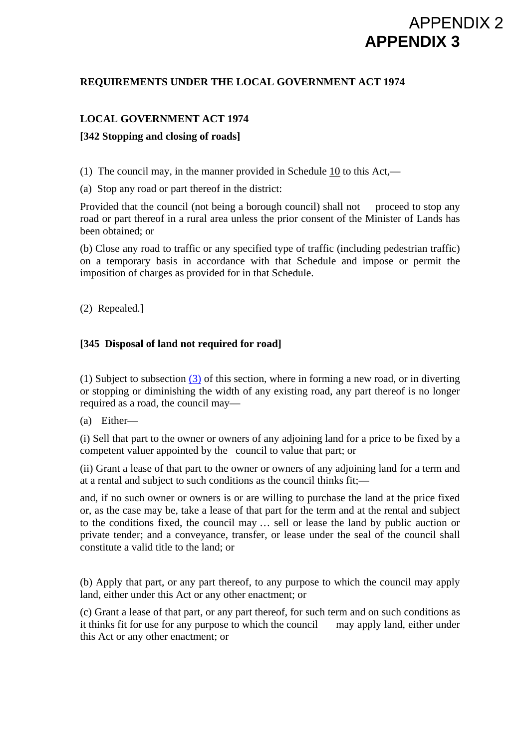## **APPENDIX 3**  APPENDIX 2

#### **REQUIREMENTS UNDER THE LOCAL GOVERNMENT ACT 1974**

#### **LOCAL GOVERNMENT ACT 1974**

#### **[342 Stopping and closing of roads]**

(1) The council may, in the manner provided in Schedule [10](http://www.brookersonline.co.nz/databases/modus/lawpart/statutes/link?id=ACT-NZL-PUB-Y.1974-66%7eEND%7eSCHG%7eSCH.10&si=15) to this Act,—

(a) Stop any road or part thereof in the district:

Provided that the council (not being a borough council) shall not proceed to stop any road or part thereof in a rural area unless the prior consent of the Minister of Lands has been obtained; or

(b) Close any road to traffic or any specified type of traffic (including pedestrian traffic) on a temporary basis in accordance with that Schedule and impose or permit the imposition of charges as provided for in that Schedule.

(2) Repealed.]

#### **[345 Disposal of land not required for road]**

(1) Subject to subsection [\(3\)](http://www.brookersonline.co.nz/databases/modus/lawpart/statutes/link?id=ACT-NZL-PUB-Y.1974-66%7eBDY%7ePT.21%7eSG.!1097%7eS.345%7eSS.3&si=15) of this section, where in forming a new road, or in diverting or stopping or diminishing the width of any existing road, any part thereof is no longer required as a road, the council may—

(a) Either—

(i) Sell that part to the owner or owners of any adjoining land for a price to be fixed by a competent valuer appointed by the council to value that part; or

(ii) Grant a lease of that part to the owner or owners of any adjoining land for a term and at a rental and subject to such conditions as the council thinks fit;—

and, if no such owner or owners is or are willing to purchase the land at the price fixed or, as the case may be, take a lease of that part for the term and at the rental and subject to the conditions fixed, the council may … sell or lease the land by public auction or private tender; and a conveyance, transfer, or lease under the seal of the council shall constitute a valid title to the land; or

(b) Apply that part, or any part thereof, to any purpose to which the council may apply land, either under this Act or any other enactment; or

(c) Grant a lease of that part, or any part thereof, for such term and on such conditions as it thinks fit for use for any purpose to which the council may apply land, either under this Act or any other enactment; or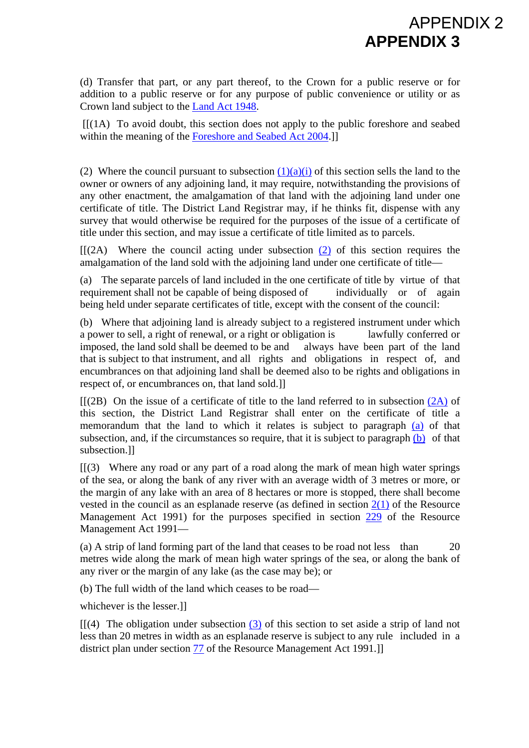(d) Transfer that part, or any part thereof, to the Crown for a public reserve or for addition to a public reserve or for any purpose of public convenience or utility or as Crown land subject to the [Land Act 1948](http://www.brookersonline.co.nz/databases/modus/lawpart/statutes/link?id=ACT-NZL-PUB-Y.1948-64&si=15).

**APPENDIX 3** 

APPENDIX 2

 $[1]$ (1A) To avoid doubt, this section does not apply to the public foreshore and seabed within the meaning of the [Foreshore and Seabed Act 2004.](http://www.brookersonline.co.nz/databases/modus/lawpart/statutes/link?id=ACT-NZL-PUB-Y.2004-93&si=15)]

(2) Where the council pursuant to subsection  $(1)(a)(i)$  of this section sells the land to the owner or owners of any adjoining land, it may require, notwithstanding the provisions of any other enactment, the amalgamation of that land with the adjoining land under one certificate of title. The District Land Registrar may, if he thinks fit, dispense with any survey that would otherwise be required for the purposes of the issue of a certificate of title under this section, and may issue a certificate of title limited as to parcels.

 $[$ [(2A) Where the council acting under subsection [\(2\)](http://www.brookersonline.co.nz/databases/modus/lawpart/statutes/link?id=ACT-NZL-PUB-Y.1974-66%7eBDY%7ePT.21%7eSG.!1097%7eS.345%7eSS.2&si=15) of this section requires the amalgamation of the land sold with the adjoining land under one certificate of title—

(a) The separate parcels of land included in the one certificate of title by virtue of that requirement shall not be capable of being disposed of individually or of again being held under separate certificates of title, except with the consent of the council:

(b) Where that adjoining land is already subject to a registered instrument under which a power to sell, a right of renewal, or a right or obligation is lawfully conferred or imposed, the land sold shall be deemed to be and always have been part of the land that is subject to that instrument, and all rights and obligations in respect of, and encumbrances on that adjoining land shall be deemed also to be rights and obligations in respect of, or encumbrances on, that land sold.]]

 $[(2B)$  On the issue of a certificate of title to the land referred to in subsection  $(2A)$  of this section, the District Land Registrar shall enter on the certificate of title a memorandum that the land to which it relates is subject to paragraph [\(a\)](http://www.brookersonline.co.nz/databases/modus/lawpart/statutes/link?id=ACT-NZL-PUB-Y.1974-66%7eBDY%7ePT.21%7eSG.!1097%7eS.345%7eSS.2A%7eP.a&si=15) of that subsection, and, if the circumstances so require, that it is subject to paragraph  $(b)$  of that subsection.]]

 $[$ [(3) Where any road or any part of a road along the mark of mean high water springs of the sea, or along the bank of any river with an average width of 3 metres or more, or the margin of any lake with an area of 8 hectares or more is stopped, there shall become vested in the council as an esplanade reserve (as defined in section  $2(1)$  of the Resource Management Act 1991) for the purposes specified in section [229](http://www.brookersonline.co.nz/databases/modus/lawpart/statutes/link?id=ACT-NZL-PUB-Y.1991-69%7eBDY%7ePT.10%7eSG.!471%7eS.229&si=15) of the Resource Management Act 1991—

(a) A strip of land forming part of the land that ceases to be road not less than 20 metres wide along the mark of mean high water springs of the sea, or along the bank of any river or the margin of any lake (as the case may be); or

(b) The full width of the land which ceases to be road—

whichever is the lesser.]]

 $[(4)$  The obligation under subsection [\(3\)](http://www.brookersonline.co.nz/databases/modus/lawpart/statutes/link?id=ACT-NZL-PUB-Y.1974-66%7eBDY%7ePT.21%7eSG.!1097%7eS.345%7eSS.3&si=15) of this section to set aside a strip of land not less than 20 metres in width as an esplanade reserve is subject to any rule included in a district plan under section [77](http://www.brookersonline.co.nz/databases/modus/lawpart/statutes/link?id=ACT-NZL-PUB-Y.1991-69%7eBDY%7ePT.5%7eSG.!291%7eS.77&si=15) of the Resource Management Act 1991.]]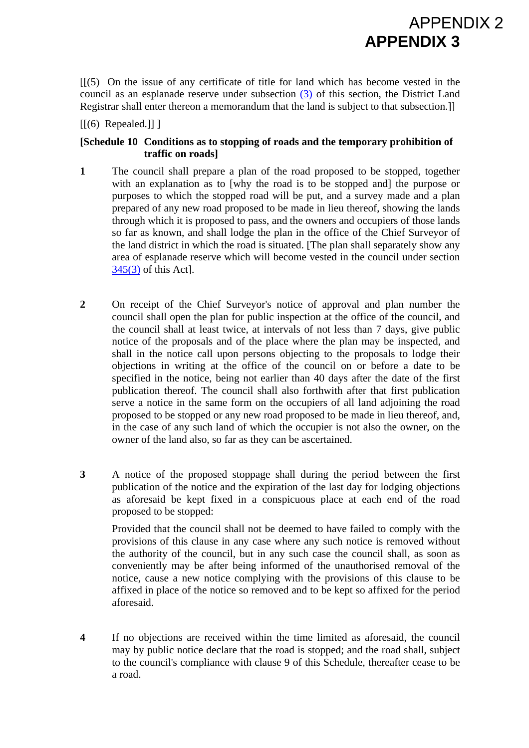$[$ [(5) On the issue of any certificate of title for land which has become vested in the council as an esplanade reserve under subsection [\(3\)](http://www.brookersonline.co.nz/databases/modus/lawpart/statutes/link?id=ACT-NZL-PUB-Y.1974-66%7eBDY%7ePT.21%7eSG.!1097%7eS.345%7eSS.3&si=15) of this section, the District Land Registrar shall enter thereon a memorandum that the land is subject to that subsection.]]

**APPENDIX 3** 

APPENDIX 2

 $\left[\left[\left(6\right)$  Repealed.]] ]

#### **[Schedule 10 Conditions as to stopping of roads and the temporary prohibition of traffic on roads]**

- **1** The council shall prepare a plan of the road proposed to be stopped, together with an explanation as to [why the road is to be stopped and] the purpose or purposes to which the stopped road will be put, and a survey made and a plan prepared of any new road proposed to be made in lieu thereof, showing the lands through which it is proposed to pass, and the owners and occupiers of those lands so far as known, and shall lodge the plan in the office of the Chief Surveyor of the land district in which the road is situated. [The plan shall separately show any area of esplanade reserve which will become vested in the council under section [345\(3\)](http://www.brookersonline.co.nz/databases/modus/lawpart/statutes/link?id=ACT-NZL-PUB-Y.1974-66%7eBDY%7ePT.21%7eSG.!1097%7eS.345%7eSS.3&si=15) of this Act].
- **2** On receipt of the Chief Surveyor's notice of approval and plan number the council shall open the plan for public inspection at the office of the council, and the council shall at least twice, at intervals of not less than 7 days, give public notice of the proposals and of the place where the plan may be inspected, and shall in the notice call upon persons objecting to the proposals to lodge their objections in writing at the office of the council on or before a date to be specified in the notice, being not earlier than 40 days after the date of the first publication thereof. The council shall also forthwith after that first publication serve a notice in the same form on the occupiers of all land adjoining the road proposed to be stopped or any new road proposed to be made in lieu thereof, and, in the case of any such land of which the occupier is not also the owner, on the owner of the land also, so far as they can be ascertained.
- **3** A notice of the proposed stoppage shall during the period between the first publication of the notice and the expiration of the last day for lodging objections as aforesaid be kept fixed in a conspicuous place at each end of the road proposed to be stopped:

 Provided that the council shall not be deemed to have failed to comply with the provisions of this clause in any case where any such notice is removed without the authority of the council, but in any such case the council shall, as soon as conveniently may be after being informed of the unauthorised removal of the notice, cause a new notice complying with the provisions of this clause to be affixed in place of the notice so removed and to be kept so affixed for the period aforesaid.

**4** If no objections are received within the time limited as aforesaid, the council may by public notice declare that the road is stopped; and the road shall, subject to the council's compliance with clause 9 of this Schedule, thereafter cease to be a road.